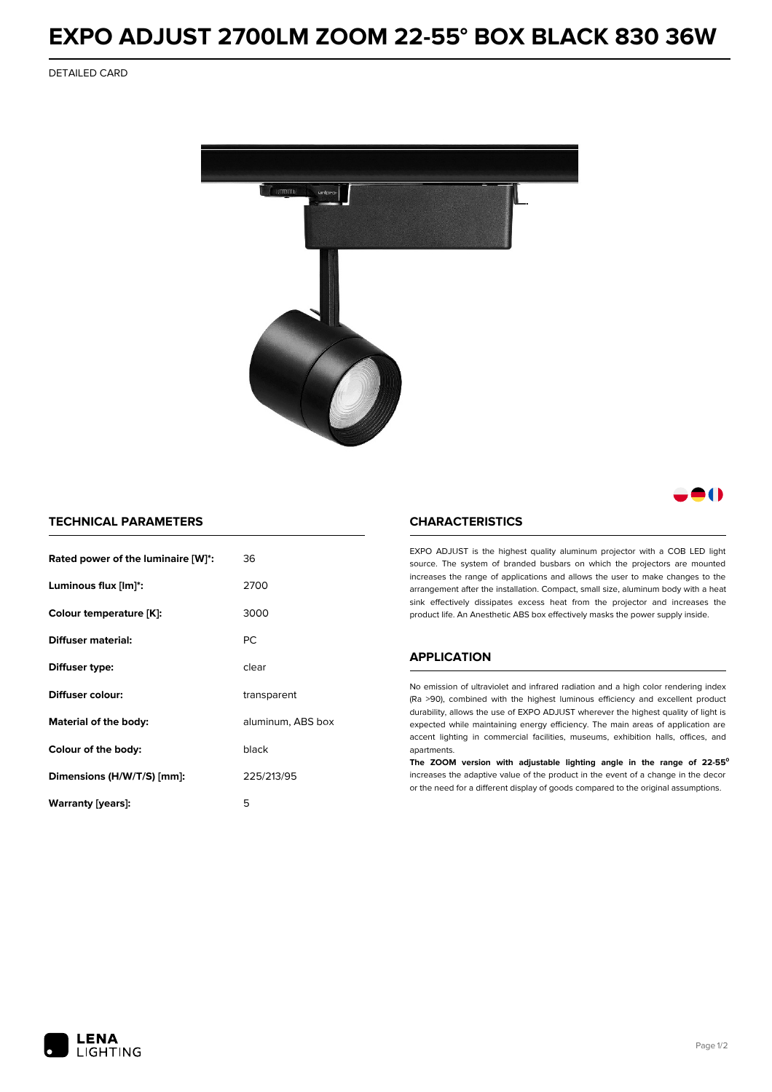# **EXPO ADJUST 2700LM ZOOM 22-55° BOX BLACK 830 36W**

DETAILED CARD



## 80

### **TECHNICAL PARAMETERS**

| Rated power of the luminaire [W]*: | 36                |  |
|------------------------------------|-------------------|--|
| Luminous flux [lm]*:               | 2700              |  |
| Colour temperature [K]:            | 3000              |  |
| Diffuser material:                 | РC                |  |
| Diffuser type:                     | clear             |  |
| Diffuser colour:                   | transparent       |  |
| Material of the body:              | aluminum, ABS box |  |
| Colour of the body:                | black             |  |
| Dimensions (H/W/T/S) [mm]:         | 225/213/95        |  |
| Warranty (years):                  | 5                 |  |

#### **CHARACTERISTICS**

EXPO ADJUST is the highest quality aluminum projector with a COB LED light source. The system of branded busbars on which the projectors are mounted increases the range of applications and allows the user to make changes to the arrangement after the installation. Compact, small size, aluminum body with a heat sink effectively dissipates excess heat from the projector and increases the product life. An Anesthetic ABS box effectively masks the power supply inside.

### **APPLICATION**

No emission of ultraviolet and infrared radiation and a high color rendering index (Ra >90), combined with the highest luminous efficiency and excellent product durability, allows the use of EXPO ADJUST wherever the highest quality of light is expected while maintaining energy efficiency. The main areas of application are accent lighting in commercial facilities, museums, exhibition halls, offices, and apartments.

**The ZOOM version with adjustable lighting angle in the range of 22-55⁰** increases the adaptive value of the product in the event of a change in the decor or the need for a different display of goods compared to the original assumptions.